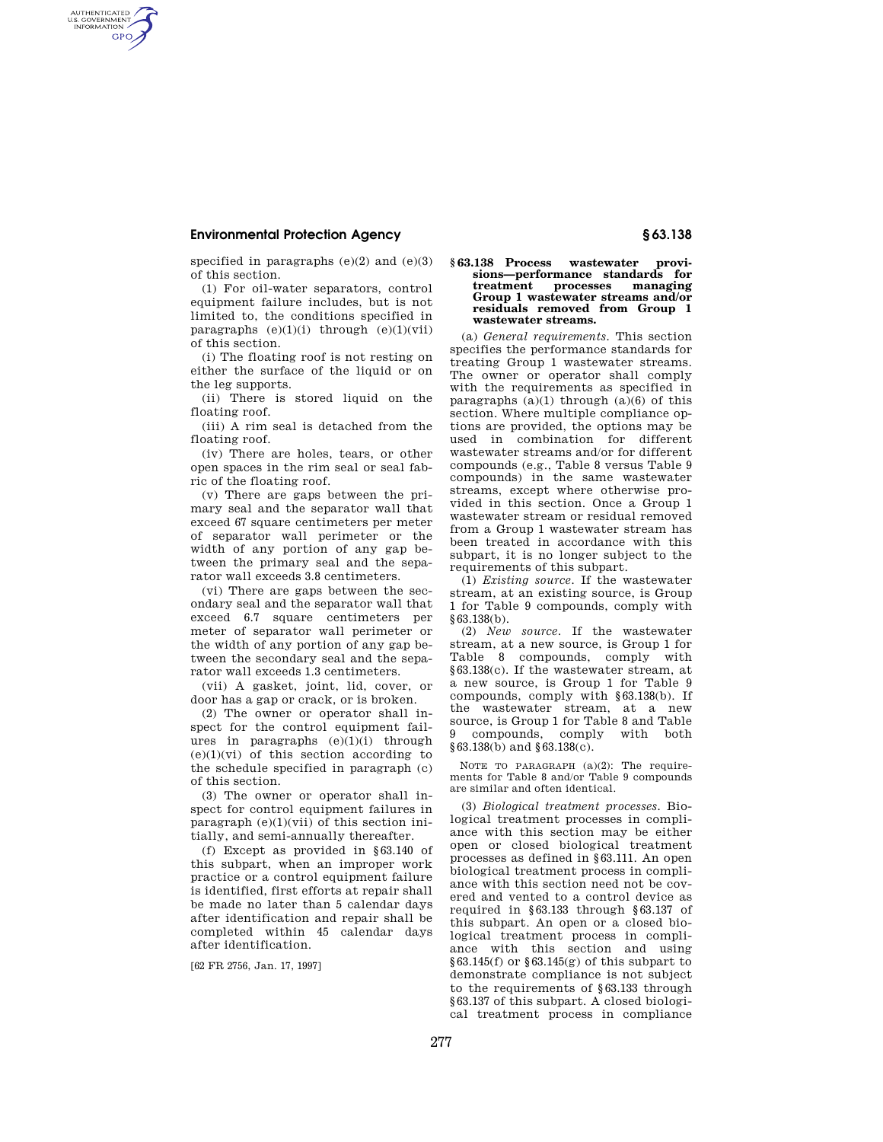AUTHENTICATED<br>U.S. GOVERNMENT<br>INFORMATION **GPO** 

> specified in paragraphs  $(e)(2)$  and  $(e)(3)$ of this section.

> (1) For oil-water separators, control equipment failure includes, but is not limited to, the conditions specified in paragraphs  $(e)(1)(i)$  through  $(e)(1)(vii)$ of this section.

> (i) The floating roof is not resting on either the surface of the liquid or on the leg supports.

> (ii) There is stored liquid on the floating roof.

> (iii) A rim seal is detached from the floating roof.

> (iv) There are holes, tears, or other open spaces in the rim seal or seal fabric of the floating roof.

> (v) There are gaps between the primary seal and the separator wall that exceed 67 square centimeters per meter of separator wall perimeter or the width of any portion of any gap between the primary seal and the separator wall exceeds 3.8 centimeters.

> (vi) There are gaps between the secondary seal and the separator wall that exceed 6.7 square centimeters per meter of separator wall perimeter or the width of any portion of any gap between the secondary seal and the separator wall exceeds 1.3 centimeters.

(vii) A gasket, joint, lid, cover, or door has a gap or crack, or is broken.

(2) The owner or operator shall inspect for the control equipment failures in paragraphs  $(e)(1)(i)$  through  $(e)(1)(vi)$  of this section according to the schedule specified in paragraph (c) of this section.

(3) The owner or operator shall inspect for control equipment failures in paragraph  $(e)(1)(vi)$  of this section initially, and semi-annually thereafter.

(f) Except as provided in §63.140 of this subpart, when an improper work practice or a control equipment failure is identified, first efforts at repair shall be made no later than 5 calendar days after identification and repair shall be completed within 45 calendar days after identification.

[62 FR 2756, Jan. 17, 1997]

#### **§ 63.138 Process wastewater provisions—performance standards for treatment processes managing Group 1 wastewater streams and/or residuals removed from Group 1 wastewater streams.**

(a) *General requirements.* This section specifies the performance standards for treating Group 1 wastewater streams. The owner or operator shall comply with the requirements as specified in paragraphs  $(a)(1)$  through  $(a)(6)$  of this section. Where multiple compliance options are provided, the options may be used in combination for different wastewater streams and/or for different compounds (e.g., Table 8 versus Table 9 compounds) in the same wastewater streams, except where otherwise provided in this section. Once a Group 1 wastewater stream or residual removed from a Group 1 wastewater stream has been treated in accordance with this subpart, it is no longer subject to the requirements of this subpart.

(1) *Existing source.* If the wastewater stream, at an existing source, is Group 1 for Table 9 compounds, comply with §63.138(b).

(2) *New source.* If the wastewater stream, at a new source, is Group 1 for Table 8 compounds, comply with §63.138(c). If the wastewater stream, at a new source, is Group 1 for Table 9 compounds, comply with §63.138(b). If the wastewater stream, at a new source, is Group 1 for Table 8 and Table compounds, comply with both §63.138(b) and §63.138(c).

NOTE TO PARAGRAPH (a)(2): The requirements for Table 8 and/or Table 9 compounds are similar and often identical.

(3) *Biological treatment processes.* Biological treatment processes in compliance with this section may be either open or closed biological treatment processes as defined in §63.111. An open biological treatment process in compliance with this section need not be covered and vented to a control device as required in §63.133 through §63.137 of this subpart. An open or a closed biological treatment process in compliance with this section and using  $§63.145(f)$  or  $§63.145(g)$  of this subpart to demonstrate compliance is not subject to the requirements of §63.133 through §63.137 of this subpart. A closed biological treatment process in compliance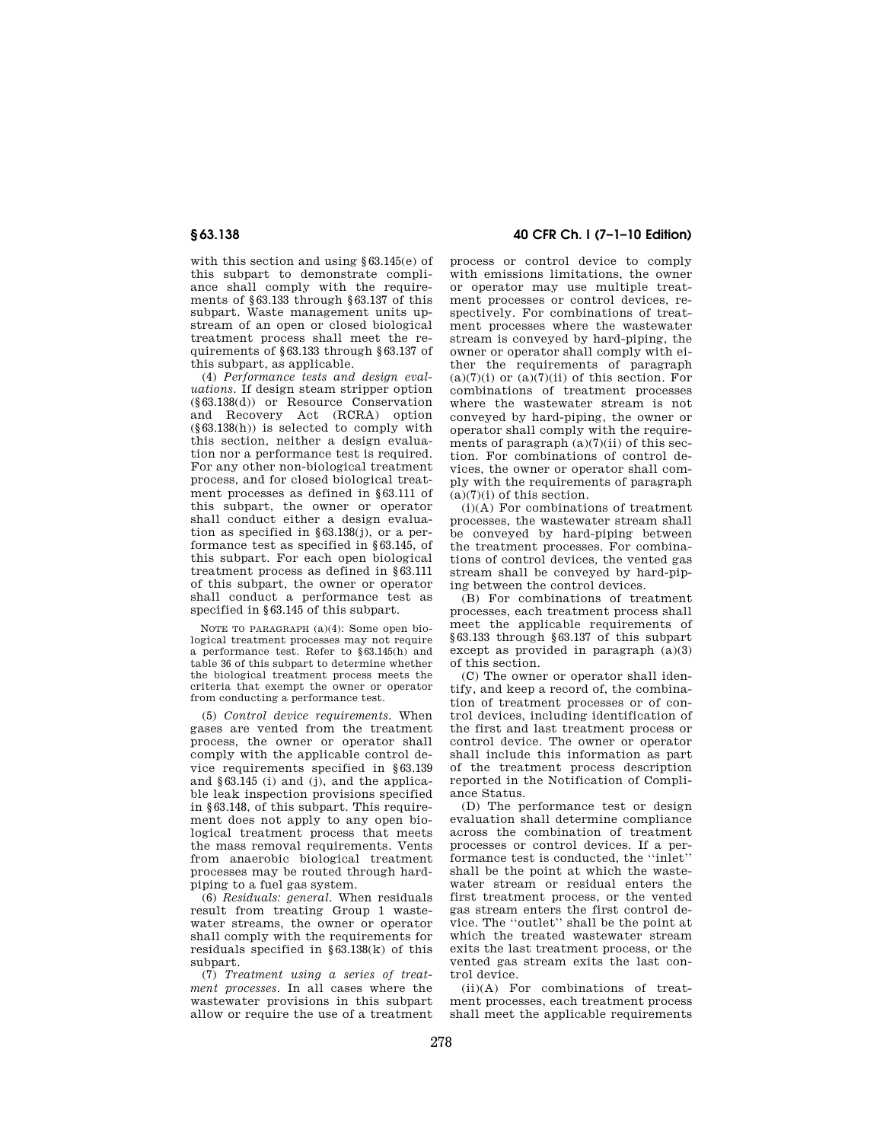with this section and using §63.145(e) of this subpart to demonstrate compliance shall comply with the requirements of §63.133 through §63.137 of this subpart. Waste management units upstream of an open or closed biological treatment process shall meet the requirements of §63.133 through §63.137 of this subpart, as applicable.

(4) *Performance tests and design evaluations.* If design steam stripper option (§63.138(d)) or Resource Conservation and Recovery Act (RCRA) option (§63.138(h)) is selected to comply with this section, neither a design evaluation nor a performance test is required. For any other non-biological treatment process, and for closed biological treatment processes as defined in §63.111 of this subpart, the owner or operator shall conduct either a design evaluation as specified in §63.138(j), or a performance test as specified in §63.145, of this subpart. For each open biological treatment process as defined in §63.111 of this subpart, the owner or operator shall conduct a performance test as specified in §63.145 of this subpart.

NOTE TO PARAGRAPH (a)(4): Some open biological treatment processes may not require a performance test. Refer to §63.145(h) and table 36 of this subpart to determine whether the biological treatment process meets the criteria that exempt the owner or operator from conducting a performance test.

(5) *Control device requirements.* When gases are vented from the treatment process, the owner or operator shall comply with the applicable control device requirements specified in §63.139 and §63.145 (i) and (j), and the applicable leak inspection provisions specified in §63.148, of this subpart. This requirement does not apply to any open biological treatment process that meets the mass removal requirements. Vents from anaerobic biological treatment processes may be routed through hardpiping to a fuel gas system.

(6) *Residuals: general.* When residuals result from treating Group 1 wastewater streams, the owner or operator shall comply with the requirements for residuals specified in §63.138(k) of this subpart.

(7) *Treatment using a series of treatment processes.* In all cases where the wastewater provisions in this subpart allow or require the use of a treatment

**§ 63.138 40 CFR Ch. I (7–1–10 Edition)** 

process or control device to comply with emissions limitations, the owner or operator may use multiple treatment processes or control devices, respectively. For combinations of treatment processes where the wastewater stream is conveyed by hard-piping, the owner or operator shall comply with either the requirements of paragraph  $(a)(7)(i)$  or  $(a)(7)(ii)$  of this section. For combinations of treatment processes where the wastewater stream is not conveyed by hard-piping, the owner or operator shall comply with the requirements of paragraph  $(a)(7)(ii)$  of this section. For combinations of control devices, the owner or operator shall comply with the requirements of paragraph  $(a)(7)(i)$  of this section.

(i)(A) For combinations of treatment processes, the wastewater stream shall be conveyed by hard-piping between the treatment processes. For combinations of control devices, the vented gas stream shall be conveyed by hard-piping between the control devices.

(B) For combinations of treatment processes, each treatment process shall meet the applicable requirements of §63.133 through §63.137 of this subpart except as provided in paragraph  $(a)(3)$ of this section.

(C) The owner or operator shall identify, and keep a record of, the combination of treatment processes or of control devices, including identification of the first and last treatment process or control device. The owner or operator shall include this information as part of the treatment process description reported in the Notification of Compliance Status.

(D) The performance test or design evaluation shall determine compliance across the combination of treatment processes or control devices. If a performance test is conducted, the "inlet" shall be the point at which the wastewater stream or residual enters the first treatment process, or the vented gas stream enters the first control device. The ''outlet'' shall be the point at which the treated wastewater stream exits the last treatment process, or the vented gas stream exits the last control device.

(ii)(A) For combinations of treatment processes, each treatment process shall meet the applicable requirements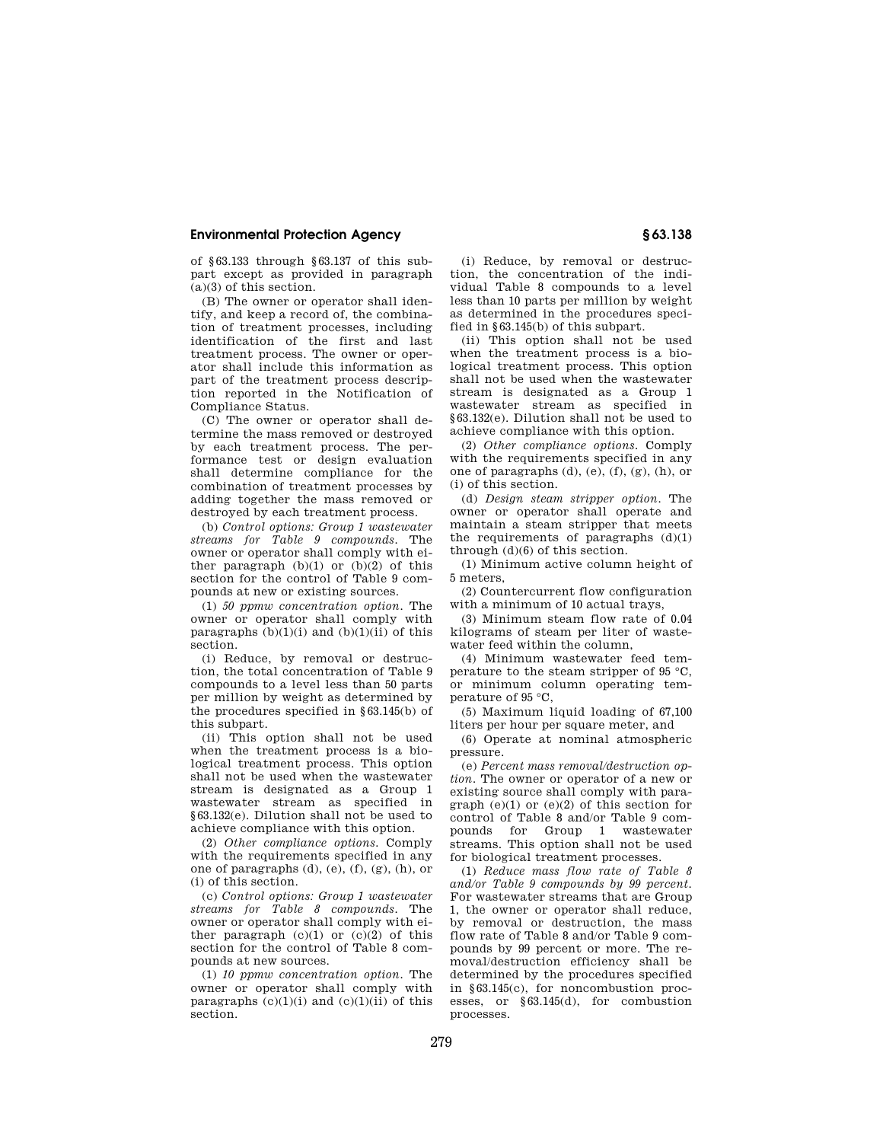of §63.133 through §63.137 of this subpart except as provided in paragraph  $(a)(3)$  of this section.

(B) The owner or operator shall identify, and keep a record of, the combination of treatment processes, including identification of the first and last treatment process. The owner or operator shall include this information as part of the treatment process description reported in the Notification of Compliance Status.

(C) The owner or operator shall determine the mass removed or destroyed by each treatment process. The performance test or design evaluation shall determine compliance for the combination of treatment processes by adding together the mass removed or destroyed by each treatment process.

(b) *Control options: Group 1 wastewater streams for Table 9 compounds.* The owner or operator shall comply with either paragraph  $(b)(1)$  or  $(b)(2)$  of this section for the control of Table 9 compounds at new or existing sources.

(1) *50 ppmw concentration option.* The owner or operator shall comply with paragraphs  $(b)(1)(i)$  and  $(b)(1)(ii)$  of this section.

(i) Reduce, by removal or destruction, the total concentration of Table 9 compounds to a level less than 50 parts per million by weight as determined by the procedures specified in §63.145(b) of this subpart.

(ii) This option shall not be used when the treatment process is a biological treatment process. This option shall not be used when the wastewater stream is designated as a Group 1 wastewater stream as specified in §63.132(e). Dilution shall not be used to achieve compliance with this option.

(2) *Other compliance options.* Comply with the requirements specified in any one of paragraphs (d), (e), (f), (g), (h), or (i) of this section.

(c) *Control options: Group 1 wastewater streams for Table 8 compounds.* The owner or operator shall comply with either paragraph  $(c)(1)$  or  $(c)(2)$  of this section for the control of Table 8 compounds at new sources.

(1) *10 ppmw concentration option.* The owner or operator shall comply with paragraphs  $(c)(1)(i)$  and  $(c)(1)(ii)$  of this section.

(i) Reduce, by removal or destruction, the concentration of the individual Table 8 compounds to a level less than 10 parts per million by weight as determined in the procedures specified in §63.145(b) of this subpart.

(ii) This option shall not be used when the treatment process is a biological treatment process. This option shall not be used when the wastewater stream is designated as a Group 1 wastewater stream as specified in §63.132(e). Dilution shall not be used to achieve compliance with this option.

(2) *Other compliance options.* Comply with the requirements specified in any one of paragraphs (d), (e), (f), (g), (h), or (i) of this section.

(d) *Design steam stripper option.* The owner or operator shall operate and maintain a steam stripper that meets the requirements of paragraphs  $(d)(1)$ through (d)(6) of this section.

(1) Minimum active column height of 5 meters,

(2) Countercurrent flow configuration with a minimum of 10 actual trays,

(3) Minimum steam flow rate of 0.04 kilograms of steam per liter of wastewater feed within the column,

(4) Minimum wastewater feed temperature to the steam stripper of 95 °C, or minimum column operating temperature of 95 °C,

(5) Maximum liquid loading of 67,100 liters per hour per square meter, and

(6) Operate at nominal atmospheric pressure.

(e) *Percent mass removal/destruction option.* The owner or operator of a new or existing source shall comply with paragraph  $(e)(1)$  or  $(e)(2)$  of this section for control of Table 8 and/or Table 9 com-<br>nounds for Group 1 wastewater pounds for  $Group \quad 1$ streams. This option shall not be used for biological treatment processes.

(1) *Reduce mass flow rate of Table 8 and/or Table 9 compounds by 99 percent.*  For wastewater streams that are Group 1, the owner or operator shall reduce, by removal or destruction, the mass flow rate of Table 8 and/or Table 9 compounds by 99 percent or more. The removal/destruction efficiency shall be determined by the procedures specified in §63.145(c), for noncombustion processes, or §63.145(d), for combustion processes.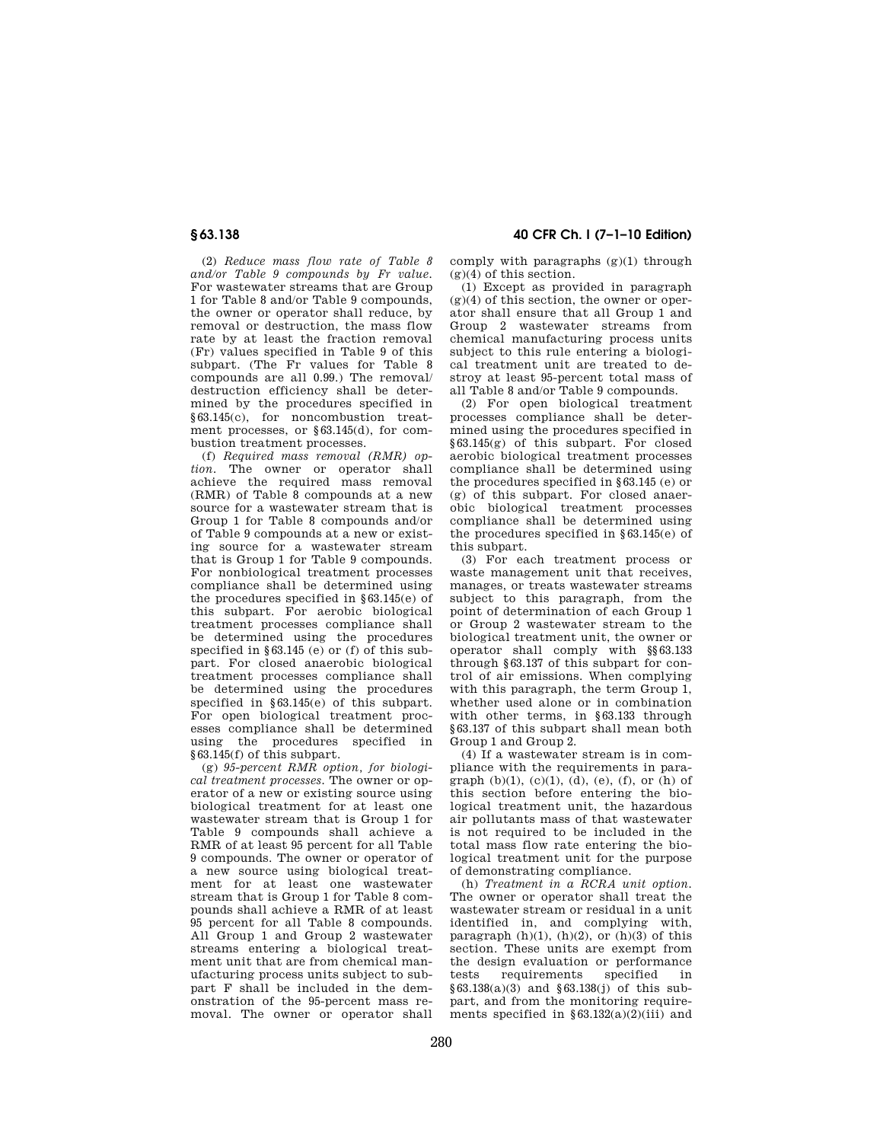(2) *Reduce mass flow rate of Table 8 and/or Table 9 compounds by Fr value.*  For wastewater streams that are Group 1 for Table 8 and/or Table 9 compounds, the owner or operator shall reduce, by removal or destruction, the mass flow rate by at least the fraction removal (Fr) values specified in Table 9 of this subpart. (The Fr values for Table 8 compounds are all 0.99.) The removal/ destruction efficiency shall be determined by the procedures specified in §63.145(c), for noncombustion treatment processes, or §63.145(d), for combustion treatment processes.

(f) *Required mass removal (RMR) option.* The owner or operator shall achieve the required mass removal (RMR) of Table 8 compounds at a new source for a wastewater stream that is Group 1 for Table 8 compounds and/or of Table 9 compounds at a new or existing source for a wastewater stream that is Group 1 for Table 9 compounds. For nonbiological treatment processes compliance shall be determined using the procedures specified in §63.145(e) of this subpart. For aerobic biological treatment processes compliance shall be determined using the procedures specified in §63.145 (e) or (f) of this subpart. For closed anaerobic biological treatment processes compliance shall be determined using the procedures specified in §63.145(e) of this subpart. For open biological treatment processes compliance shall be determined using the procedures specified in §63.145(f) of this subpart.

(g) *95-percent RMR option, for biological treatment processes.* The owner or operator of a new or existing source using biological treatment for at least one wastewater stream that is Group 1 for Table 9 compounds shall achieve a RMR of at least 95 percent for all Table 9 compounds. The owner or operator of a new source using biological treatment for at least one wastewater stream that is Group 1 for Table 8 compounds shall achieve a RMR of at least 95 percent for all Table 8 compounds. All Group 1 and Group 2 wastewater streams entering a biological treatment unit that are from chemical manufacturing process units subject to subpart F shall be included in the demonstration of the 95-percent mass removal. The owner or operator shall

**§ 63.138 40 CFR Ch. I (7–1–10 Edition)** 

comply with paragraphs (g)(1) through  $(g)(4)$  of this section.

(1) Except as provided in paragraph  $(g)(4)$  of this section, the owner or operator shall ensure that all Group 1 and Group 2 wastewater streams from chemical manufacturing process units subject to this rule entering a biological treatment unit are treated to destroy at least 95-percent total mass of all Table 8 and/or Table 9 compounds.

(2) For open biological treatment processes compliance shall be determined using the procedures specified in §63.145(g) of this subpart. For closed aerobic biological treatment processes compliance shall be determined using the procedures specified in §63.145 (e) or (g) of this subpart. For closed anaerobic biological treatment processes compliance shall be determined using the procedures specified in §63.145(e) of this subpart.

(3) For each treatment process or waste management unit that receives, manages, or treats wastewater streams subject to this paragraph, from the point of determination of each Group 1 or Group 2 wastewater stream to the biological treatment unit, the owner or operator shall comply with §§63.133 through §63.137 of this subpart for control of air emissions. When complying with this paragraph, the term Group 1, whether used alone or in combination with other terms, in §63.133 through §63.137 of this subpart shall mean both Group 1 and Group 2.

(4) If a wastewater stream is in compliance with the requirements in paragraph  $(b)(1)$ ,  $(c)(1)$ ,  $(d)$ ,  $(e)$ ,  $(f)$ , or  $(h)$  of this section before entering the biological treatment unit, the hazardous air pollutants mass of that wastewater is not required to be included in the total mass flow rate entering the biological treatment unit for the purpose of demonstrating compliance.

(h) *Treatment in a RCRA unit option.*  The owner or operator shall treat the wastewater stream or residual in a unit identified in, and complying with, paragraph  $(h)(1)$ ,  $(h)(2)$ , or  $(h)(3)$  of this section. These units are exempt from the design evaluation or performance<br>tests requirements specified in requirements  $§63.138(a)(3)$  and  $§63.138(i)$  of this subpart, and from the monitoring requirements specified in  $\S 63.132(a)(2)(iii)$  and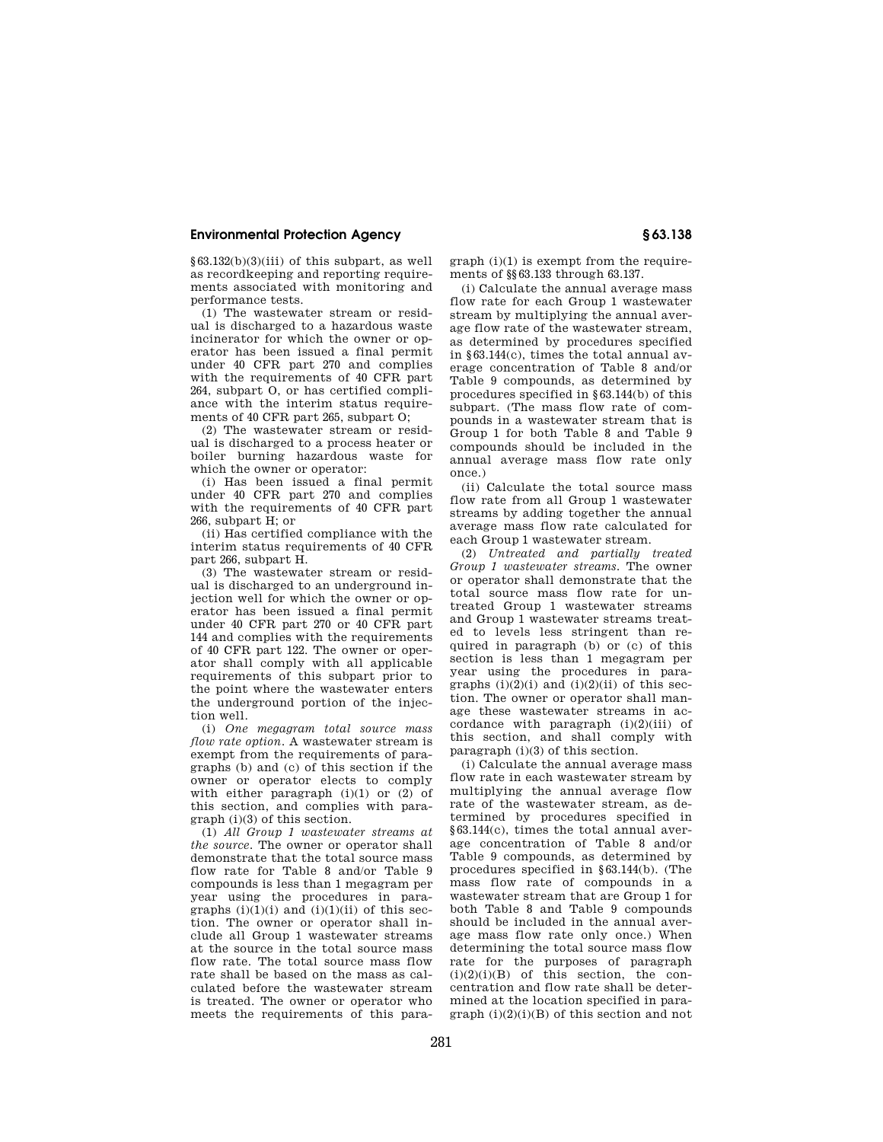§63.132(b)(3)(iii) of this subpart, as well as recordkeeping and reporting requirements associated with monitoring and performance tests.

(1) The wastewater stream or residual is discharged to a hazardous waste incinerator for which the owner or operator has been issued a final permit under 40 CFR part 270 and complies with the requirements of 40 CFR part 264, subpart O, or has certified compliance with the interim status requirements of 40 CFR part 265, subpart O;

(2) The wastewater stream or residual is discharged to a process heater or boiler burning hazardous waste for which the owner or operator:

(i) Has been issued a final permit under 40 CFR part 270 and complies with the requirements of 40 CFR part 266, subpart H; or

(ii) Has certified compliance with the interim status requirements of 40 CFR part 266, subpart H.

(3) The wastewater stream or residual is discharged to an underground injection well for which the owner or operator has been issued a final permit under 40 CFR part 270 or 40 CFR part 144 and complies with the requirements of 40 CFR part 122. The owner or operator shall comply with all applicable requirements of this subpart prior to the point where the wastewater enters the underground portion of the injection well.

(i) *One megagram total source mass flow rate option.* A wastewater stream is exempt from the requirements of paragraphs (b) and (c) of this section if the owner or operator elects to comply with either paragraph  $(i)(1)$  or  $(2)$  of this section, and complies with paragraph (i)(3) of this section.

(1) *All Group 1 wastewater streams at the source.* The owner or operator shall demonstrate that the total source mass flow rate for Table 8 and/or Table 9 compounds is less than 1 megagram per year using the procedures in paragraphs  $(i)(1)(i)$  and  $(i)(1)(ii)$  of this section. The owner or operator shall include all Group 1 wastewater streams at the source in the total source mass flow rate. The total source mass flow rate shall be based on the mass as calculated before the wastewater stream is treated. The owner or operator who meets the requirements of this paragraph (i)(1) is exempt from the requirements of §§63.133 through 63.137.

(i) Calculate the annual average mass flow rate for each Group 1 wastewater stream by multiplying the annual average flow rate of the wastewater stream, as determined by procedures specified in §63.144(c), times the total annual average concentration of Table 8 and/or Table 9 compounds, as determined by procedures specified in §63.144(b) of this subpart. (The mass flow rate of compounds in a wastewater stream that is Group 1 for both Table 8 and Table 9 compounds should be included in the annual average mass flow rate only once.)

(ii) Calculate the total source mass flow rate from all Group 1 wastewater streams by adding together the annual average mass flow rate calculated for each Group 1 wastewater stream.

(2) *Untreated and partially treated Group 1 wastewater streams.* The owner or operator shall demonstrate that the total source mass flow rate for untreated Group 1 wastewater streams and Group 1 wastewater streams treated to levels less stringent than required in paragraph (b) or (c) of this section is less than 1 megagram per year using the procedures in paragraphs  $(i)(2)(i)$  and  $(i)(2)(ii)$  of this section. The owner or operator shall manage these wastewater streams in accordance with paragraph  $(i)(2)(iii)$  of this section, and shall comply with paragraph (i)(3) of this section.

(i) Calculate the annual average mass flow rate in each wastewater stream by multiplying the annual average flow rate of the wastewater stream, as determined by procedures specified in §63.144(c), times the total annual average concentration of Table 8 and/or Table 9 compounds, as determined by procedures specified in §63.144(b). (The mass flow rate of compounds in a wastewater stream that are Group 1 for both Table 8 and Table 9 compounds should be included in the annual average mass flow rate only once.) When determining the total source mass flow rate for the purposes of paragraph  $(i)(2)(i)(B)$  of this section, the concentration and flow rate shall be determined at the location specified in para $graph (i)(2)(i)(B)$  of this section and not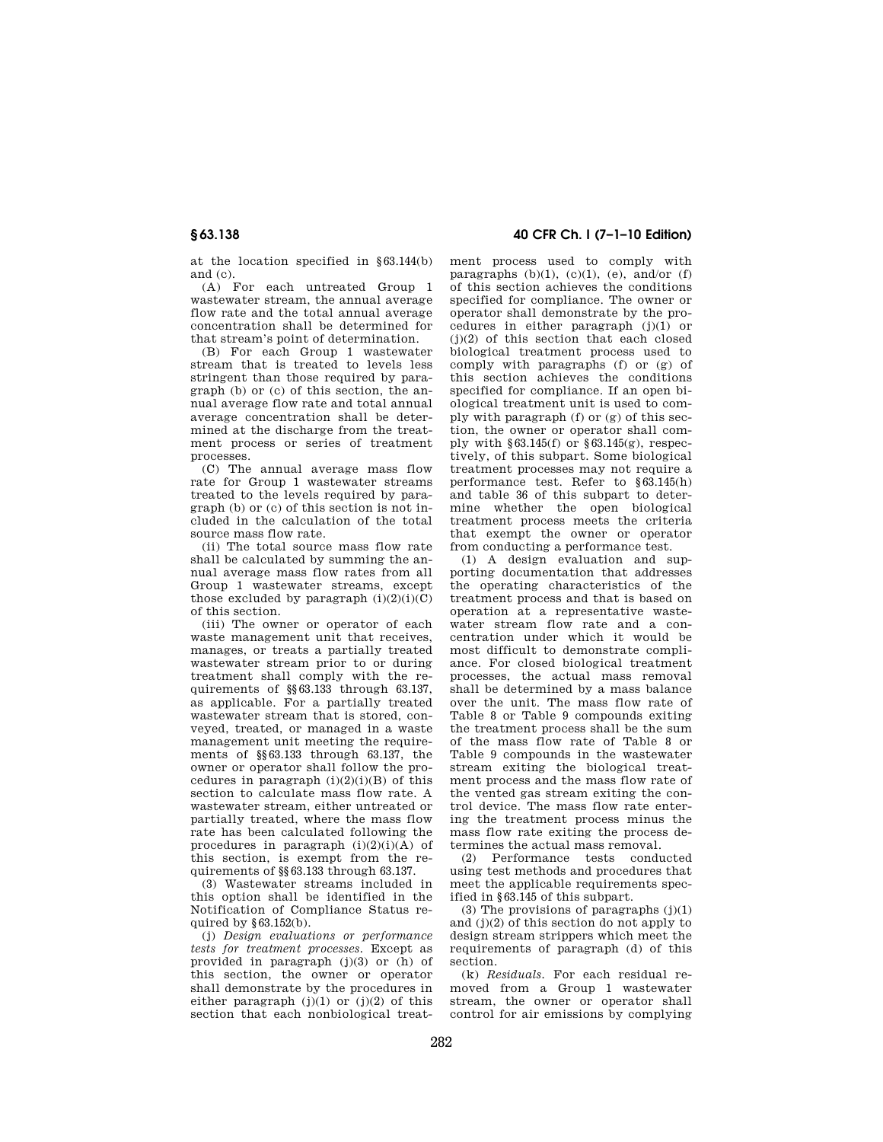at the location specified in §63.144(b) and (c).

(A) For each untreated Group 1 wastewater stream, the annual average flow rate and the total annual average concentration shall be determined for that stream's point of determination.

(B) For each Group 1 wastewater stream that is treated to levels less stringent than those required by paragraph (b) or (c) of this section, the annual average flow rate and total annual average concentration shall be determined at the discharge from the treatment process or series of treatment processes.

(C) The annual average mass flow rate for Group 1 wastewater streams treated to the levels required by paragraph  $(b)$  or  $(c)$  of this section is not included in the calculation of the total source mass flow rate.

(ii) The total source mass flow rate shall be calculated by summing the annual average mass flow rates from all Group 1 wastewater streams, except those excluded by paragraph  $(i)(2)(i)(C)$ of this section.

(iii) The owner or operator of each waste management unit that receives, manages, or treats a partially treated wastewater stream prior to or during treatment shall comply with the requirements of §§63.133 through 63.137, as applicable. For a partially treated wastewater stream that is stored, conveyed, treated, or managed in a waste management unit meeting the requirements of §§63.133 through 63.137, the owner or operator shall follow the procedures in paragraph  $(i)(2)(i)(B)$  of this section to calculate mass flow rate. A wastewater stream, either untreated or partially treated, where the mass flow rate has been calculated following the procedures in paragraph  $(i)(2)(i)(A)$  of this section, is exempt from the requirements of §§63.133 through 63.137.

(3) Wastewater streams included in this option shall be identified in the Notification of Compliance Status required by §63.152(b).

(j) *Design evaluations or performance tests for treatment processes.* Except as provided in paragraph (j)(3) or (h) of this section, the owner or operator shall demonstrate by the procedures in either paragraph  $(j)(1)$  or  $(j)(2)$  of this section that each nonbiological treat-

**§ 63.138 40 CFR Ch. I (7–1–10 Edition)** 

ment process used to comply with paragraphs  $(b)(1)$ ,  $(c)(1)$ ,  $(e)$ , and/or  $(f)$ of this section achieves the conditions specified for compliance. The owner or operator shall demonstrate by the procedures in either paragraph (j)(1) or (j)(2) of this section that each closed biological treatment process used to comply with paragraphs (f) or (g) of this section achieves the conditions specified for compliance. If an open biological treatment unit is used to comply with paragraph (f) or (g) of this section, the owner or operator shall comply with  $\S 63.145(f)$  or  $\S 63.145(g)$ , respectively, of this subpart. Some biological treatment processes may not require a performance test. Refer to §63.145(h) and table 36 of this subpart to determine whether the open biological treatment process meets the criteria that exempt the owner or operator from conducting a performance test.

(1) A design evaluation and supporting documentation that addresses the operating characteristics of the treatment process and that is based on operation at a representative wastewater stream flow rate and a concentration under which it would be most difficult to demonstrate compliance. For closed biological treatment processes, the actual mass removal shall be determined by a mass balance over the unit. The mass flow rate of Table 8 or Table 9 compounds exiting the treatment process shall be the sum of the mass flow rate of Table 8 or Table 9 compounds in the wastewater stream exiting the biological treatment process and the mass flow rate of the vented gas stream exiting the control device. The mass flow rate entering the treatment process minus the mass flow rate exiting the process determines the actual mass removal.

(2) Performance tests conducted using test methods and procedures that meet the applicable requirements specified in §63.145 of this subpart.

(3) The provisions of paragraphs  $(j)(1)$ and (j)(2) of this section do not apply to design stream strippers which meet the requirements of paragraph (d) of this section.

(k) *Residuals.* For each residual removed from a Group 1 wastewater stream, the owner or operator shall control for air emissions by complying